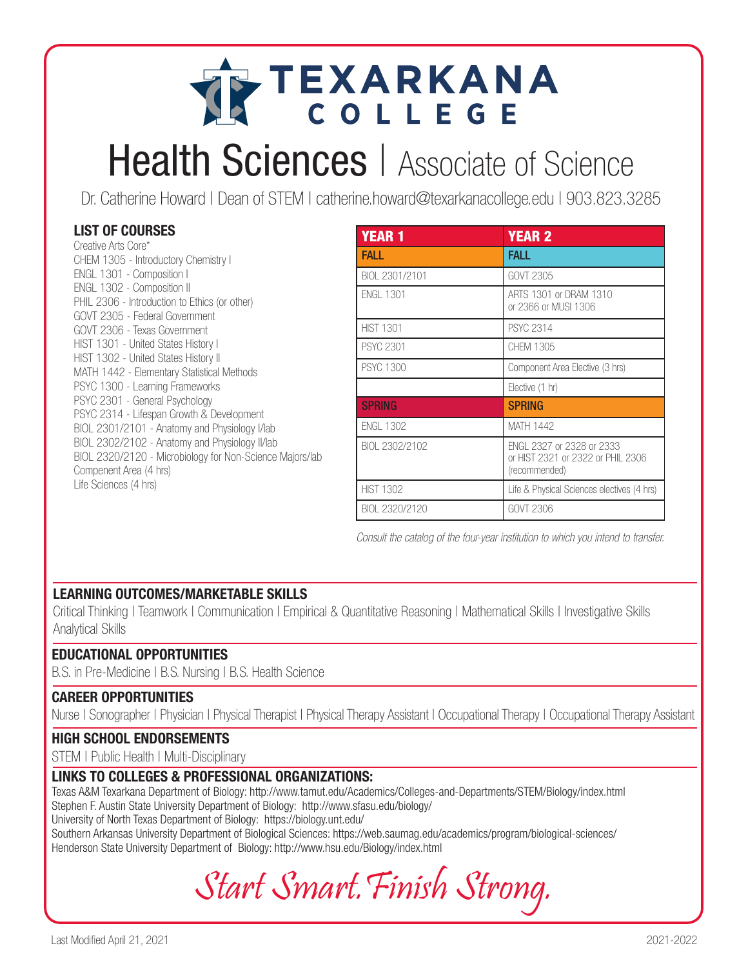# TEXARKANA

# **Health Sciences** | Associate of Science

Dr. Catherine Howard | Dean of STEM | catherine.howard@texarkanacollege.edu | 903.823.3285

## LIST OF COURSES

| Creative Arts Core*                                      |
|----------------------------------------------------------|
| CHEM 1305 - Introductory Chemistry I                     |
| ENGL 1301 - Composition I                                |
| ENGL 1302 - Composition II                               |
| PHIL 2306 - Introduction to Ethics (or other)            |
| GOVT 2305 - Federal Government                           |
| GOVT 2306 - Texas Government                             |
| HIST 1301 - United States History I                      |
| HIST 1302 - United States History II                     |
| MATH 1442 - Elementary Statistical Methods               |
| PSYC 1300 - Learning Frameworks                          |
| PSYC 2301 - General Psychology                           |
| PSYC 2314 - Lifespan Growth & Development                |
| BIOL 2301/2101 - Anatomy and Physiology I/lab            |
| BIOL 2302/2102 - Anatomy and Physiology II/lab           |
| BIOL 2320/2120 - Microbiology for Non-Science Majors/lab |
| Compenent Area (4 hrs)                                   |
| Life Sciences (4 hrs)                                    |

| <b>YEAR 1</b>    | <b>YEAR 2</b>                                                                   |  |  |
|------------------|---------------------------------------------------------------------------------|--|--|
| FALL             | FALL                                                                            |  |  |
| BIOL 2301/2101   | GOVT 2305                                                                       |  |  |
| <b>ENGL 1301</b> | ARTS 1301 or DRAM 1310<br>or 2366 or MUSI 1306                                  |  |  |
| <b>HIST 1301</b> | <b>PSYC 2314</b>                                                                |  |  |
| <b>PSYC 2301</b> | CHFM 1305                                                                       |  |  |
| <b>PSYC 1300</b> | Component Area Elective (3 hrs)                                                 |  |  |
|                  | Elective (1 hr)                                                                 |  |  |
| <b>SPRING</b>    | <b>SPRING</b>                                                                   |  |  |
| <b>FNGI 1302</b> | <b>MATH 1442</b>                                                                |  |  |
| BIOL 2302/2102   | FNGL 2327 or 2328 or 2333<br>or HIST 2321 or 2322 or PHIL 2306<br>(recommended) |  |  |
| <b>HIST 1302</b> | Life & Physical Sciences electives (4 hrs)                                      |  |  |
| BIOL 2320/2120   | GOVT 2306                                                                       |  |  |

Consult the catalog of the four-year institution to which you intend to transfer.

### LEARNING OUTCOMES/MARKETABLE SKILLS

Critical Thinking | Teamwork | Communication | Empirical & Quantitative Reasoning | Mathematical Skills | Investigative Skills Analytical Skills

#### EDUCATIONAL OPPORTUNITIES

B.S. in Pre-Medicine | B.S. Nursing | B.S. Health Science

#### CAREER OPPORTUNITIES

Nurse | Sonographer | Physician | Physical Therapist | Physical Therapy Assistant | Occupational Therapy | Occupational Therapy Assistant

#### HIGH SCHOOL ENDORSEMENTS

STEM | Public Health | Multi-Disciplinary

#### LINKS TO COLLEGES & PROFESSIONAL ORGANIZATIONS:

Texas A&M Texarkana Department of Biology: http://www.tamut.edu/Academics/Colleges-and-Departments/STEM/Biology/index.html Stephen F. Austin State University Department of Biology: http://www.sfasu.edu/biology/ University of North Texas Department of Biology: https://biology.unt.edu/

Southern Arkansas University Department of Biological Sciences: https://web.saumag.edu/academics/program/biological-sciences/ Henderson State University Department of Biology: http://www.hsu.edu/Biology/index.html

Start Smart.Finish Strong.